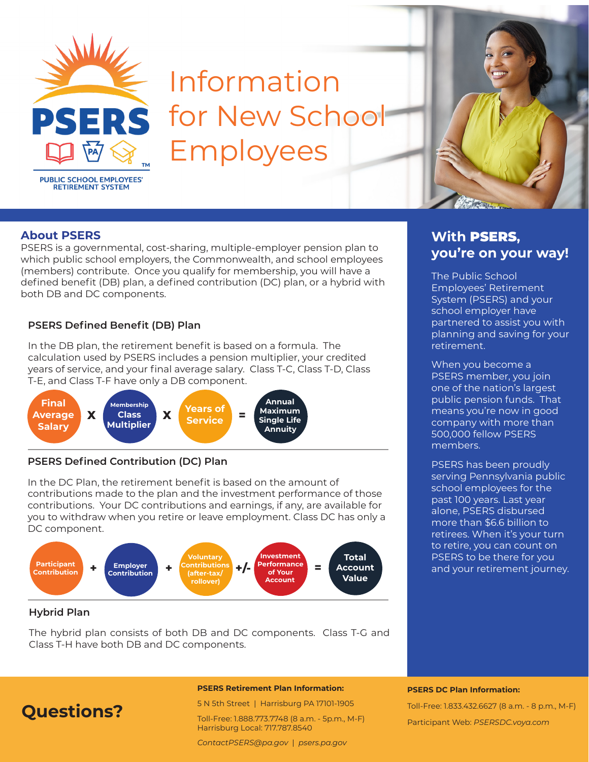

# Information PSERS for New School Employees



## **About PSERS**

PSERS is a governmental, cost-sharing, multiple-employer pension plan to which public school employers, the Commonwealth, and school employees (members) contribute. Once you qualify for membership, you will have a defined benefit (DB) plan, a defined contribution (DC) plan, or a hybrid with both DB and DC components.

## **PSERS Defined Benefit (DB) Plan**

In the DB plan, the retirement benefit is based on a formula. The calculation used by PSERS includes a pension multiplier, your credited years of service, and your final average salary. Class T-C, Class T-D, Class T-E, and Class T-F have only a DB component.



## **PSERS Defined Contribution (DC) Plan**

In the DC Plan, the retirement benefit is based on the amount of contributions made to the plan and the investment performance of those contributions. Your DC contributions and earnings, if any, are available for you to withdraw when you retire or leave employment. Class DC has only a DC component.



### **Hybrid Plan**

The hybrid plan consists of both DB and DC components. Class T-G and Class T-H have both DB and DC components.



#### **PSERS Retirement Plan Information:**

5 N 5th Street | Harrisburg PA 17101-1905

Toll-Free: 1.888.773.7748 (8 a.m. - 5p.m., M-F) Harrisburg Local: 717.787.8540

*ContactPSERS@pa.gov* | *psers.pa.gov*

# **With** PSERS**, you're on your way!**

The Public School Employees' Retirement System (PSERS) and your school employer have partnered to assist you with planning and saving for your retirement.

When you become a PSERS member, you join one of the nation's largest public pension funds. That means you're now in good company with more than 500,000 fellow PSERS members.

PSERS has been proudly serving Pennsylvania public school employees for the past 100 years. Last year alone, PSERS disbursed more than \$6.6 billion to retirees. When it's your turn to retire, you can count on PSERS to be there for you and your retirement journey.

#### **PSERS DC Plan Information:**

Toll-Free: 1.833.432.6627 (8 a.m. - 8 p.m., M-F) **OUEStions?**<br>Toll-Free: 1.888.773.7748 (8 a.m. - 5p.m., M-F)<br>Participant Web: *PSERSDC.voya.com*